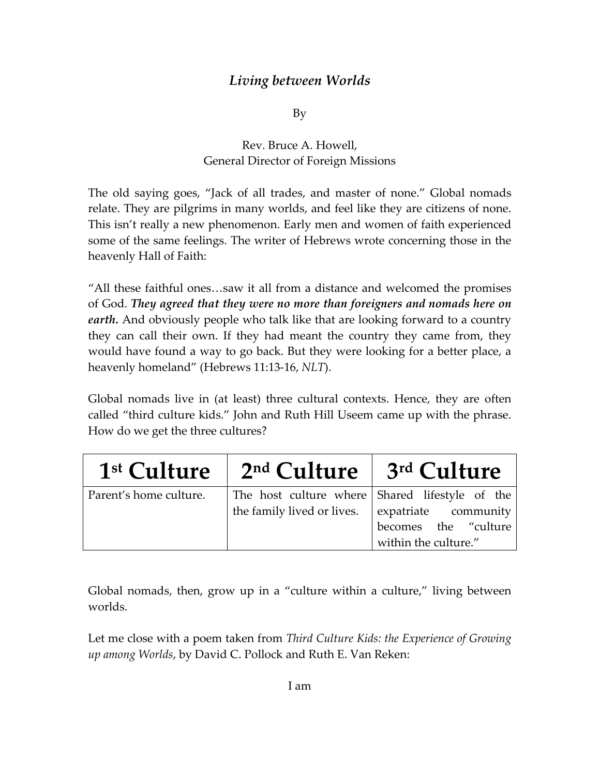## *Living between Worlds*

By

Rev. Bruce A. Howell, General Director of Foreign Missions

The old saying goes, "Jack of all trades, and master of none." Global nomads relate. They are pilgrims in many worlds, and feel like they are citizens of none. This isn't really a new phenomenon. Early men and women of faith experienced some of the same feelings. The writer of Hebrews wrote concerning those in the heavenly Hall of Faith:

"All these faithful ones…saw it all from a distance and welcomed the promises of God. *They agreed that they were no more than foreigners and nomads here on earth.* And obviously people who talk like that are looking forward to a country they can call their own. If they had meant the country they came from, they would have found a way to go back. But they were looking for a better place, a heavenly homeland" (Hebrews 11:13‐16, *NLT*).

Global nomads live in (at least) three cultural contexts. Hence, they are often called "third culture kids." John and Ruth Hill Useem came up with the phrase. How do we get the three cultures?

| 1 <sup>st</sup> Culture | 2 <sup>nd</sup> Culture                                                      | 3 <sup>rd</sup> Culture                      |
|-------------------------|------------------------------------------------------------------------------|----------------------------------------------|
| Parent's home culture.  | The host culture where Shared lifestyle of the<br>the family lived or lives. | expatriate community                         |
|                         |                                                                              | becomes the "culture<br>within the culture." |

Global nomads, then, grow up in a "culture within a culture," living between worlds.

Let me close with a poem taken from *Third Culture Kids: the Experience of Growing up among Worlds*, by David C. Pollock and Ruth E. Van Reken: